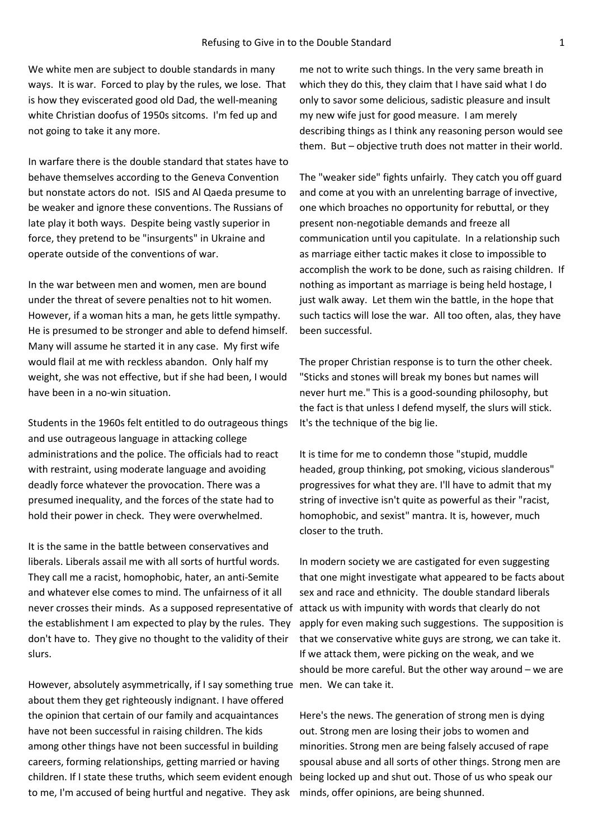We white men are subject to double standards in many ways. It is war. Forced to play by the rules, we lose. That is how they eviscerated good old Dad, the well-meaning white Christian doofus of 1950s sitcoms. I'm fed up and not going to take it any more.

In warfare there is the double standard that states have to behave themselves according to the Geneva Convention but nonstate actors do not. ISIS and Al Qaeda presume to be weaker and ignore these conventions. The Russians of late play it both ways. Despite being vastly superior in force, they pretend to be "insurgents" in Ukraine and operate outside of the conventions of war.

In the war between men and women, men are bound under the threat of severe penalties not to hit women. However, if a woman hits a man, he gets little sympathy. He is presumed to be stronger and able to defend himself. Many will assume he started it in any case. My first wife would flail at me with reckless abandon. Only half my weight, she was not effective, but if she had been, I would have been in a no-win situation.

Students in the 1960s felt entitled to do outrageous things and use outrageous language in attacking college administrations and the police. The officials had to react with restraint, using moderate language and avoiding deadly force whatever the provocation. There was a presumed inequality, and the forces of the state had to hold their power in check. They were overwhelmed.

It is the same in the battle between conservatives and liberals. Liberals assail me with all sorts of hurtful words. They call me a racist, homophobic, hater, an anti-Semite and whatever else comes to mind. The unfairness of it all never crosses their minds. As a supposed representative of attack us with impunity with words that clearly do not the establishment I am expected to play by the rules. They don't have to. They give no thought to the validity of their slurs.

However, absolutely asymmetrically, if I say something true men. We can take it. about them they get righteously indignant. I have offered the opinion that certain of our family and acquaintances have not been successful in raising children. The kids among other things have not been successful in building careers, forming relationships, getting married or having children. If I state these truths, which seem evident enough to me, I'm accused of being hurtful and negative. They ask

me not to write such things. In the very same breath in which they do this, they claim that I have said what I do only to savor some delicious, sadistic pleasure and insult my new wife just for good measure. I am merely describing things as I think any reasoning person would see them. But – objective truth does not matter in their world.

The "weaker side" fights unfairly. They catch you off guard and come at you with an unrelenting barrage of invective, one which broaches no opportunity for rebuttal, or they present non-negotiable demands and freeze all communication until you capitulate. In a relationship such as marriage either tactic makes it close to impossible to accomplish the work to be done, such as raising children. If nothing as important as marriage is being held hostage, I just walk away. Let them win the battle, in the hope that such tactics will lose the war. All too often, alas, they have been successful.

The proper Christian response is to turn the other cheek. "Sticks and stones will break my bones but names will never hurt me." This is a good-sounding philosophy, but the fact is that unless I defend myself, the slurs will stick. It's the technique of the big lie.

It is time for me to condemn those "stupid, muddle headed, group thinking, pot smoking, vicious slanderous" progressives for what they are. I'll have to admit that my string of invective isn't quite as powerful as their "racist, homophobic, and sexist" mantra. It is, however, much closer to the truth.

In modern society we are castigated for even suggesting that one might investigate what appeared to be facts about sex and race and ethnicity. The double standard liberals apply for even making such suggestions. The supposition is that we conservative white guys are strong, we can take it. If we attack them, were picking on the weak, and we should be more careful. But the other way around – we are

Here's the news. The generation of strong men is dying out. Strong men are losing their jobs to women and minorities. Strong men are being falsely accused of rape spousal abuse and all sorts of other things. Strong men are being locked up and shut out. Those of us who speak our minds, offer opinions, are being shunned.